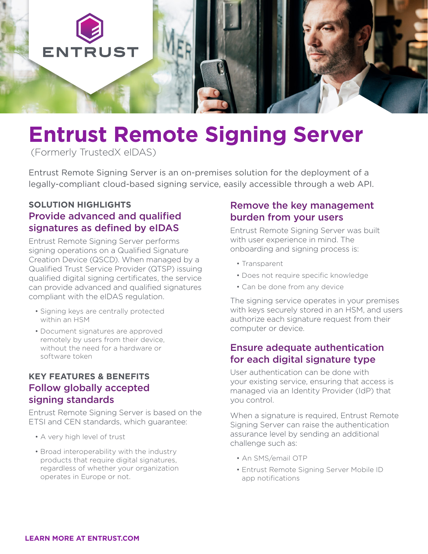

# **Entrust Remote Signing Server**

(Formerly TrustedX eIDAS)

Entrust Remote Signing Server is an on-premises solution for the deployment of a legally-compliant cloud-based signing service, easily accessible through a web API.

# **SOLUTION HIGHLIGHTS** Provide advanced and qualified signatures as defined by eIDAS

Entrust Remote Signing Server performs signing operations on a Qualified Signature Creation Device (QSCD). When managed by a Qualified Trust Service Provider (QTSP) issuing qualified digital signing certificates, the service can provide advanced and qualified signatures compliant with the eIDAS regulation.

- Signing keys are centrally protected within an HSM
- Document signatures are approved remotely by users from their device, without the need for a hardware or software token

## **KEY FEATURES & BENEFITS**  Follow globally accepted signing standards

Entrust Remote Signing Server is based on the ETSI and CEN standards, which guarantee:

- A very high level of trust
- Broad interoperability with the industry products that require digital signatures, regardless of whether your organization operates in Europe or not.

# Remove the key management burden from your users

Entrust Remote Signing Server was built with user experience in mind. The onboarding and signing process is:

- Transparent
- Does not require specific knowledge
- Can be done from any device

The signing service operates in your premises with keys securely stored in an HSM, and users authorize each signature request from their computer or device.

## Ensure adequate authentication for each digital signature type

User authentication can be done with your existing service, ensuring that access is managed via an Identity Provider (IdP) that you control.

When a signature is required, Entrust Remote Signing Server can raise the authentication assurance level by sending an additional challenge such as:

- An SMS/email OTP
- Entrust Remote Signing Server Mobile ID app notifications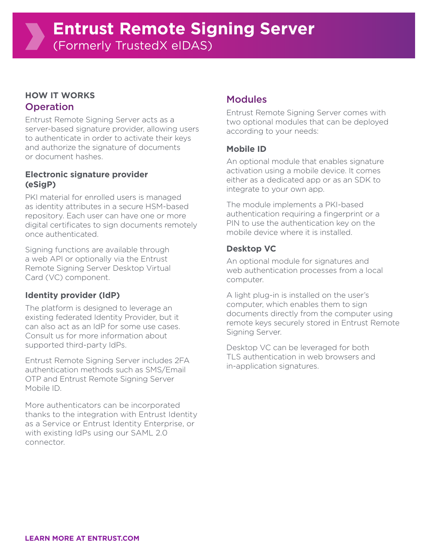## **HOW IT WORKS Operation**

Entrust Remote Signing Server acts as a server-based signature provider, allowing users to authenticate in order to activate their keys and authorize the signature of documents or document hashes.

### **Electronic signature provider (eSigP)**

PKI material for enrolled users is managed as identity attributes in a secure HSM-based repository. Each user can have one or more digital certificates to sign documents remotely once authenticated.

Signing functions are available through a web API or optionally via the Entrust Remote Signing Server Desktop Virtual Card (VC) component.

## **Identity provider (IdP)**

The platform is designed to leverage an existing federated Identity Provider, but it can also act as an IdP for some use cases. Consult us for more information about supported third-party IdPs.

Entrust Remote Signing Server includes 2FA authentication methods such as SMS/Email OTP and Entrust Remote Signing Server Mobile ID.

More authenticators can be incorporated thanks to the integration with Entrust Identity as a Service or Entrust Identity Enterprise, or with existing IdPs using our SAML 2.0 connector.

# Modules

Entrust Remote Signing Server comes with two optional modules that can be deployed according to your needs:

## **Mobile ID**

An optional module that enables signature activation using a mobile device. It comes either as a dedicated app or as an SDK to integrate to your own app.

The module implements a PKI-based authentication requiring a fingerprint or a PIN to use the authentication key on the mobile device where it is installed.

## **Desktop VC**

An optional module for signatures and web authentication processes from a local computer.

A light plug-in is installed on the user's computer, which enables them to sign documents directly from the computer using remote keys securely stored in Entrust Remote Signing Server.

Desktop VC can be leveraged for both TLS authentication in web browsers and in-application signatures.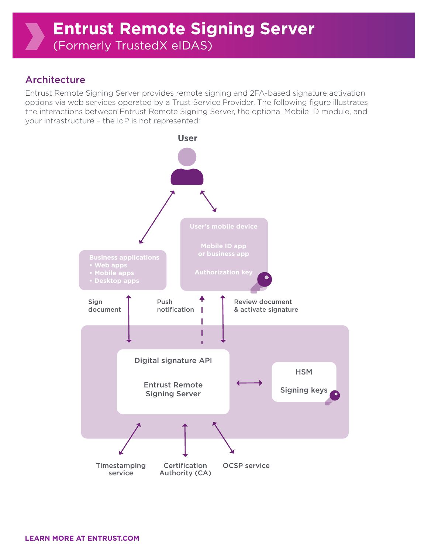# Architecture

Entrust Remote Signing Server provides remote signing and 2FA-based signature activation options via web services operated by a Trust Service Provider. The following figure illustrates the interactions between Entrust Remote Signing Server, the optional Mobile ID module, and your infrastructure – the IdP is not represented: